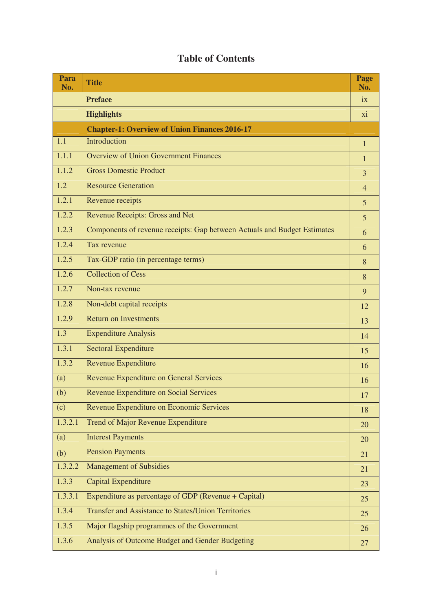## **Table of Contents**

| Para<br>No.      | <b>Title</b>                                                             | Page<br>No.    |
|------------------|--------------------------------------------------------------------------|----------------|
|                  | <b>Preface</b>                                                           | ix             |
|                  | <b>Highlights</b>                                                        | xi             |
|                  | <b>Chapter-1: Overview of Union Finances 2016-17</b>                     |                |
| 1.1              | Introduction                                                             | $\mathbf{1}$   |
| 1.1.1            | <b>Overview of Union Government Finances</b>                             | $\mathbf{1}$   |
| 1.1.2            | <b>Gross Domestic Product</b>                                            | $\overline{3}$ |
| 1.2              | <b>Resource Generation</b>                                               | $\overline{4}$ |
| 1.2.1            | Revenue receipts                                                         | $\overline{5}$ |
| 1.2.2            | <b>Revenue Receipts: Gross and Net</b>                                   | 5              |
| 1.2.3            | Components of revenue receipts: Gap between Actuals and Budget Estimates | 6              |
| 1.2.4            | Tax revenue                                                              | 6              |
| 1.2.5            | Tax-GDP ratio (in percentage terms)                                      | 8              |
| 1.2.6            | <b>Collection of Cess</b>                                                | 8              |
| 1.2.7            | Non-tax revenue                                                          | 9              |
| 1.2.8            | Non-debt capital receipts                                                | 12             |
| 1.2.9            | <b>Return on Investments</b>                                             | 13             |
| $\overline{1.3}$ | <b>Expenditure Analysis</b>                                              | 14             |
| 1.3.1            | <b>Sectoral Expenditure</b>                                              | 15             |
| 1.3.2            | <b>Revenue Expenditure</b>                                               | 16             |
| (a)              | Revenue Expenditure on General Services                                  | 16             |
| (b)              | Revenue Expenditure on Social Services                                   | 17             |
| (c)              | Revenue Expenditure on Economic Services                                 | 18             |
| 1.3.2.1          | Trend of Major Revenue Expenditure                                       | 20             |
| (a)              | <b>Interest Payments</b>                                                 | 20             |
| (b)              | <b>Pension Payments</b>                                                  | 21             |
| 1.3.2.2          | <b>Management of Subsidies</b>                                           | 21             |
| 1.3.3            | <b>Capital Expenditure</b>                                               | 23             |
| 1.3.3.1          | Expenditure as percentage of GDP (Revenue + Capital)                     | 25             |
| 1.3.4            | <b>Transfer and Assistance to States/Union Territories</b>               | 25             |
| 1.3.5            | Major flagship programmes of the Government                              | 26             |
| 1.3.6            | Analysis of Outcome Budget and Gender Budgeting                          | 27             |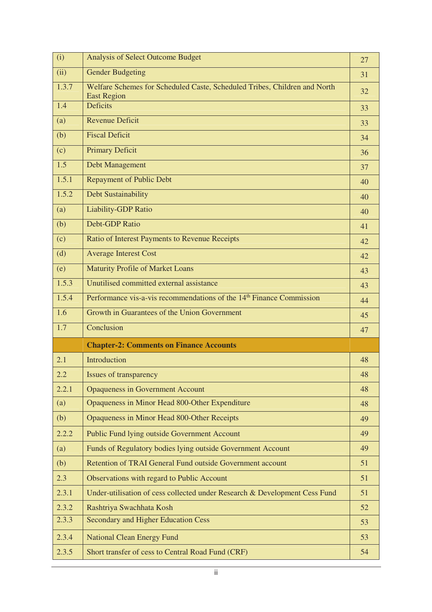| (i)   | <b>Analysis of Select Outcome Budget</b>                                                        | 27 |
|-------|-------------------------------------------------------------------------------------------------|----|
| (ii)  | <b>Gender Budgeting</b>                                                                         | 31 |
| 1.3.7 | Welfare Schemes for Scheduled Caste, Scheduled Tribes, Children and North<br><b>East Region</b> | 32 |
| 1.4   | <b>Deficits</b>                                                                                 | 33 |
| (a)   | <b>Revenue Deficit</b>                                                                          | 33 |
| (b)   | <b>Fiscal Deficit</b>                                                                           | 34 |
| (c)   | <b>Primary Deficit</b>                                                                          | 36 |
| 1.5   | Debt Management                                                                                 | 37 |
| 1.5.1 | <b>Repayment of Public Debt</b>                                                                 | 40 |
| 1.5.2 | Debt Sustainability                                                                             | 40 |
| (a)   | <b>Liability-GDP Ratio</b>                                                                      | 40 |
| (b)   | <b>Debt-GDP Ratio</b>                                                                           | 41 |
| (c)   | Ratio of Interest Payments to Revenue Receipts                                                  | 42 |
| (d)   | <b>Average Interest Cost</b>                                                                    | 42 |
| (e)   | <b>Maturity Profile of Market Loans</b>                                                         | 43 |
| 1.5.3 | Unutilised committed external assistance                                                        | 43 |
| 1.5.4 | Performance vis-a-vis recommendations of the 14 <sup>th</sup> Finance Commission                | 44 |
| 1.6   | Growth in Guarantees of the Union Government                                                    | 45 |
| 1.7   | Conclusion                                                                                      | 47 |
|       | <b>Chapter-2: Comments on Finance Accounts</b>                                                  |    |
| 2.1   | Introduction                                                                                    | 48 |
| 2.2   | Issues of transparency                                                                          | 48 |
| 2.2.1 | <b>Opaqueness in Government Account</b>                                                         | 48 |
| (a)   | Opaqueness in Minor Head 800-Other Expenditure                                                  | 48 |
| (b)   | Opaqueness in Minor Head 800-Other Receipts                                                     | 49 |
| 2.2.2 | Public Fund lying outside Government Account                                                    | 49 |
| (a)   | Funds of Regulatory bodies lying outside Government Account                                     | 49 |
| (b)   | Retention of TRAI General Fund outside Government account                                       | 51 |
| 2.3   | Observations with regard to Public Account                                                      | 51 |
| 2.3.1 | Under-utilisation of cess collected under Research & Development Cess Fund                      | 51 |
| 2.3.2 | Rashtriya Swachhata Kosh                                                                        | 52 |
| 2.3.3 | <b>Secondary and Higher Education Cess</b>                                                      | 53 |
| 2.3.4 | <b>National Clean Energy Fund</b>                                                               | 53 |
| 2.3.5 | Short transfer of cess to Central Road Fund (CRF)                                               | 54 |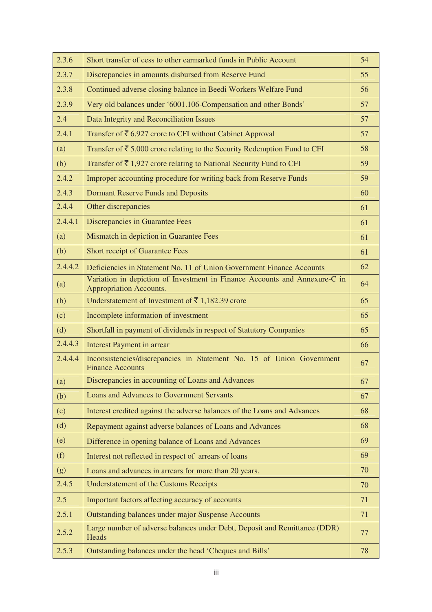| 2.3.6   | Short transfer of cess to other earmarked funds in Public Account                                     | 54 |
|---------|-------------------------------------------------------------------------------------------------------|----|
| 2.3.7   | Discrepancies in amounts disbursed from Reserve Fund                                                  | 55 |
| 2.3.8   | Continued adverse closing balance in Beedi Workers Welfare Fund                                       | 56 |
| 2.3.9   | Very old balances under '6001.106-Compensation and other Bonds'                                       | 57 |
| 2.4     | Data Integrity and Reconciliation Issues                                                              | 57 |
| 2.4.1   | Transfer of $\bar{\tau}$ 6,927 crore to CFI without Cabinet Approval                                  | 57 |
| (a)     | Transfer of $\bar{\xi}$ 5,000 crore relating to the Security Redemption Fund to CFI                   | 58 |
| (b)     | Transfer of $\bar{\tau}$ 1,927 crore relating to National Security Fund to CFI                        | 59 |
| 2.4.2   | Improper accounting procedure for writing back from Reserve Funds                                     | 59 |
| 2.4.3   | <b>Dormant Reserve Funds and Deposits</b>                                                             | 60 |
| 2.4.4   | Other discrepancies                                                                                   | 61 |
| 2.4.4.1 | Discrepancies in Guarantee Fees                                                                       | 61 |
| (a)     | Mismatch in depiction in Guarantee Fees                                                               | 61 |
| (b)     | <b>Short receipt of Guarantee Fees</b>                                                                | 61 |
| 2.4.4.2 | Deficiencies in Statement No. 11 of Union Government Finance Accounts                                 | 62 |
| (a)     | Variation in depiction of Investment in Finance Accounts and Annexure-C in<br>Appropriation Accounts. | 64 |
| (b)     | Understatement of Investment of ₹1,182.39 crore                                                       | 65 |
| (c)     | Incomplete information of investment                                                                  | 65 |
| (d)     | Shortfall in payment of dividends in respect of Statutory Companies                                   | 65 |
| 2.4.4.3 | <b>Interest Payment in arrear</b>                                                                     | 66 |
| 2.4.4.4 | Inconsistencies/discrepancies in Statement No. 15 of Union Government<br><b>Finance Accounts</b>      | 67 |
| (a)     | Discrepancies in accounting of Loans and Advances                                                     | 67 |
| (b)     | <b>Loans and Advances to Government Servants</b>                                                      | 67 |
| (c)     | Interest credited against the adverse balances of the Loans and Advances                              | 68 |
| (d)     | Repayment against adverse balances of Loans and Advances                                              | 68 |
| (e)     | Difference in opening balance of Loans and Advances                                                   | 69 |
| (f)     | Interest not reflected in respect of arrears of loans                                                 | 69 |
| (g)     | Loans and advances in arrears for more than 20 years.                                                 | 70 |
| 2.4.5   | <b>Understatement of the Customs Receipts</b>                                                         | 70 |
| 2.5     | Important factors affecting accuracy of accounts                                                      | 71 |
| 2.5.1   | Outstanding balances under major Suspense Accounts                                                    | 71 |
| 2.5.2   | Large number of adverse balances under Debt, Deposit and Remittance (DDR)<br>Heads                    | 77 |
| 2.5.3   | Outstanding balances under the head 'Cheques and Bills'                                               | 78 |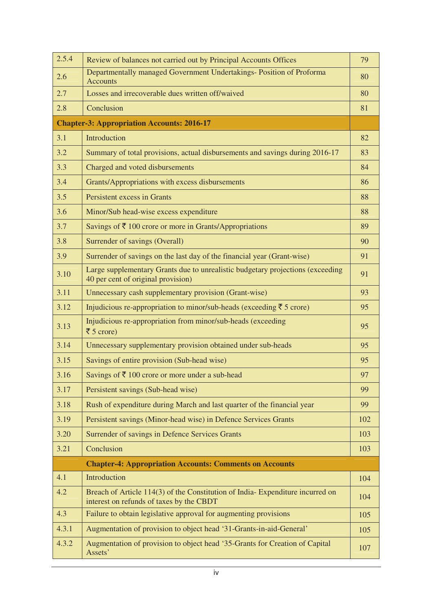| 2.5.4 | Review of balances not carried out by Principal Accounts Offices                                                          | 79  |
|-------|---------------------------------------------------------------------------------------------------------------------------|-----|
| 2.6   | Departmentally managed Government Undertakings- Position of Proforma<br><b>Accounts</b>                                   | 80  |
| 2.7   | Losses and irrecoverable dues written off/waived                                                                          | 80  |
| 2.8   | Conclusion                                                                                                                | 81  |
|       | <b>Chapter-3: Appropriation Accounts: 2016-17</b>                                                                         |     |
| 3.1   | Introduction                                                                                                              | 82  |
| 3.2   | Summary of total provisions, actual disbursements and savings during 2016-17                                              | 83  |
| 3.3   | Charged and voted disbursements                                                                                           | 84  |
| 3.4   | Grants/Appropriations with excess disbursements                                                                           | 86  |
| 3.5   | Persistent excess in Grants                                                                                               | 88  |
| 3.6   | Minor/Sub head-wise excess expenditure                                                                                    | 88  |
| 3.7   | Savings of $\bar{\tau}$ 100 crore or more in Grants/Appropriations                                                        | 89  |
| 3.8   | Surrender of savings (Overall)                                                                                            | 90  |
| 3.9   | Surrender of savings on the last day of the financial year (Grant-wise)                                                   | 91  |
| 3.10  | Large supplementary Grants due to unrealistic budgetary projections (exceeding<br>40 per cent of original provision)      | 91  |
| 3.11  | Unnecessary cash supplementary provision (Grant-wise)                                                                     | 93  |
| 3.12  | Injudicious re-appropriation to minor/sub-heads (exceeding $\bar{\tau}$ 5 crore)                                          | 95  |
| 3.13  | Injudicious re-appropriation from minor/sub-heads (exceeding<br>₹ 5 crore)                                                | 95  |
| 3.14  | Unnecessary supplementary provision obtained under sub-heads                                                              | 95  |
| 3.15  | Savings of entire provision (Sub-head wise)                                                                               | 95  |
| 3.16  | Savings of $\bar{\xi}$ 100 crore or more under a sub-head                                                                 | 97  |
| 3.17  | Persistent savings (Sub-head wise)                                                                                        | 99  |
| 3.18  | Rush of expenditure during March and last quarter of the financial year                                                   | 99  |
| 3.19  | Persistent savings (Minor-head wise) in Defence Services Grants                                                           | 102 |
| 3.20  | Surrender of savings in Defence Services Grants                                                                           | 103 |
| 3.21  | Conclusion                                                                                                                | 103 |
|       | <b>Chapter-4: Appropriation Accounts: Comments on Accounts</b>                                                            |     |
| 4.1   | Introduction                                                                                                              | 104 |
| 4.2   | Breach of Article 114(3) of the Constitution of India-Expenditure incurred on<br>interest on refunds of taxes by the CBDT | 104 |
| 4.3   | Failure to obtain legislative approval for augmenting provisions                                                          | 105 |
| 4.3.1 | Augmentation of provision to object head '31-Grants-in-aid-General'                                                       | 105 |
| 4.3.2 | Augmentation of provision to object head '35-Grants for Creation of Capital<br>Assets'                                    | 107 |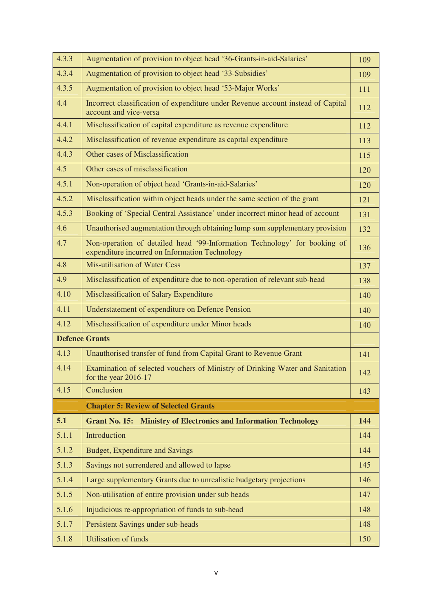| 4.3.3 | Augmentation of provision to object head '36-Grants-in-aid-Salaries'                                                        | 109 |
|-------|-----------------------------------------------------------------------------------------------------------------------------|-----|
| 4.3.4 | Augmentation of provision to object head '33-Subsidies'                                                                     | 109 |
| 4.3.5 | Augmentation of provision to object head '53-Major Works'                                                                   | 111 |
| 4.4   | Incorrect classification of expenditure under Revenue account instead of Capital<br>account and vice-versa                  | 112 |
| 4.4.1 | Misclassification of capital expenditure as revenue expenditure                                                             | 112 |
| 4.4.2 | Misclassification of revenue expenditure as capital expenditure                                                             | 113 |
| 4.4.3 | Other cases of Misclassification                                                                                            | 115 |
| 4.5   | Other cases of misclassification                                                                                            | 120 |
| 4.5.1 | Non-operation of object head 'Grants-in-aid-Salaries'                                                                       | 120 |
| 4.5.2 | Misclassification within object heads under the same section of the grant                                                   | 121 |
| 4.5.3 | Booking of 'Special Central Assistance' under incorrect minor head of account                                               | 131 |
| 4.6   | Unauthorised augmentation through obtaining lump sum supplementary provision                                                | 132 |
| 4.7   | Non-operation of detailed head '99-Information Technology' for booking of<br>expenditure incurred on Information Technology | 136 |
| 4.8   | Mis-utilisation of Water Cess                                                                                               | 137 |
| 4.9   | Misclassification of expenditure due to non-operation of relevant sub-head                                                  | 138 |
| 4.10  | Misclassification of Salary Expenditure                                                                                     | 140 |
| 4.11  | Understatement of expenditure on Defence Pension                                                                            | 140 |
| 4.12  | Misclassification of expenditure under Minor heads                                                                          | 140 |
|       | <b>Defence Grants</b>                                                                                                       |     |
| 4.13  | Unauthorised transfer of fund from Capital Grant to Revenue Grant                                                           | 141 |
| 4.14  | Examination of selected vouchers of Ministry of Drinking Water and Sanitation<br>for the year $2016-17$                     | 142 |
| 4.15  | Conclusion                                                                                                                  | 143 |
|       | <b>Chapter 5: Review of Selected Grants</b>                                                                                 |     |
| 5.1   | <b>Grant No. 15: Ministry of Electronics and Information Technology</b>                                                     | 144 |
| 5.1.1 | Introduction                                                                                                                | 144 |
| 5.1.2 | Budget, Expenditure and Savings                                                                                             | 144 |
| 5.1.3 | Savings not surrendered and allowed to lapse                                                                                | 145 |
| 5.1.4 | Large supplementary Grants due to unrealistic budgetary projections                                                         | 146 |
| 5.1.5 | Non-utilisation of entire provision under sub heads                                                                         | 147 |
| 5.1.6 | Injudicious re-appropriation of funds to sub-head                                                                           | 148 |
| 5.1.7 | Persistent Savings under sub-heads                                                                                          | 148 |
| 5.1.8 | <b>Utilisation of funds</b>                                                                                                 | 150 |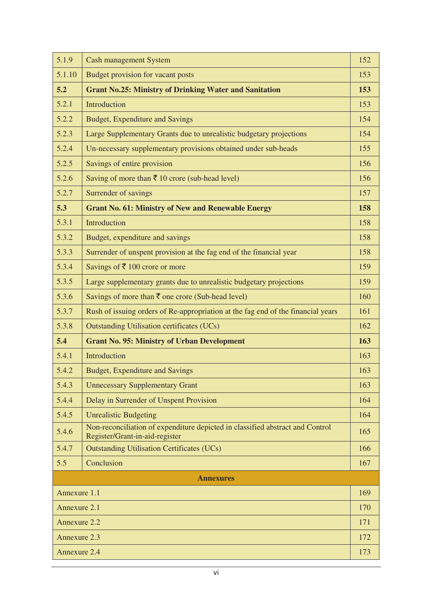| 5.1.9            | <b>Cash management System</b>                                                                                   | 152 |
|------------------|-----------------------------------------------------------------------------------------------------------------|-----|
| 5.1.10           | Budget provision for vacant posts                                                                               | 153 |
| 5.2              | <b>Grant No.25: Ministry of Drinking Water and Sanitation</b>                                                   | 153 |
| 5.2.1            | Introduction                                                                                                    | 153 |
| 5.2.2            | <b>Budget, Expenditure and Savings</b>                                                                          | 154 |
| 5.2.3            | Large Supplementary Grants due to unrealistic budgetary projections                                             | 154 |
| 5.2.4            | Un-necessary supplementary provisions obtained under sub-heads                                                  | 155 |
| 5.2.5            | Savings of entire provision                                                                                     | 156 |
| 5.2.6            | Saving of more than $\bar{\tau}$ 10 crore (sub-head level)                                                      | 156 |
| 5.2.7            | Surrender of savings                                                                                            | 157 |
| 5.3              | <b>Grant No. 61: Ministry of New and Renewable Energy</b>                                                       | 158 |
| 5.3.1            | Introduction                                                                                                    | 158 |
| 5.3.2            | Budget, expenditure and savings                                                                                 | 158 |
| 5.3.3            | Surrender of unspent provision at the fag end of the financial year                                             | 158 |
| 5.3.4            | Savings of ₹ 100 crore or more                                                                                  | 159 |
| 5.3.5            | Large supplementary grants due to unrealistic budgetary projections                                             | 159 |
| 5.3.6            | Savings of more than $\bar{\tau}$ one crore (Sub-head level)                                                    | 160 |
| 5.3.7            | Rush of issuing orders of Re-appropriation at the fag end of the financial years                                | 161 |
| 5.3.8            | <b>Outstanding Utilisation certificates (UCs)</b>                                                               | 162 |
| 5.4              | <b>Grant No. 95: Ministry of Urban Development</b>                                                              | 163 |
| 5.4.1            | Introduction                                                                                                    | 163 |
| 5.4.2            | <b>Budget, Expenditure and Savings</b>                                                                          | 163 |
| 5.4.3            | <b>Unnecessary Supplementary Grant</b>                                                                          | 163 |
| 5.4.4            | Delay in Surrender of Unspent Provision                                                                         | 164 |
| 5.4.5            | <b>Unrealistic Budgeting</b>                                                                                    | 164 |
| 5.4.6            | Non-reconciliation of expenditure depicted in classified abstract and Control<br>Register/Grant-in-aid-register | 165 |
| 5.4.7            | <b>Outstanding Utilisation Certificates (UCs)</b>                                                               | 166 |
| 5.5              | Conclusion                                                                                                      | 167 |
| <b>Annexures</b> |                                                                                                                 |     |
| Annexure 1.1     |                                                                                                                 | 169 |
| Annexure 2.1     |                                                                                                                 | 170 |
| Annexure 2.2     |                                                                                                                 | 171 |
| Annexure 2.3     |                                                                                                                 | 172 |
| Annexure 2.4     |                                                                                                                 | 173 |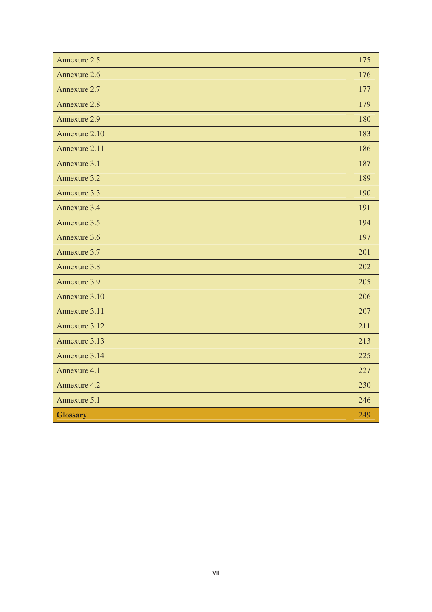| Annexure 2.5    | 175 |
|-----------------|-----|
| Annexure 2.6    | 176 |
| Annexure 2.7    | 177 |
| Annexure 2.8    | 179 |
| Annexure 2.9    | 180 |
| Annexure 2.10   | 183 |
| Annexure 2.11   | 186 |
| Annexure 3.1    | 187 |
| Annexure 3.2    | 189 |
| Annexure 3.3    | 190 |
| Annexure 3.4    | 191 |
| Annexure 3.5    | 194 |
| Annexure 3.6    | 197 |
| Annexure 3.7    | 201 |
| Annexure 3.8    | 202 |
| Annexure 3.9    | 205 |
| Annexure 3.10   | 206 |
| Annexure 3.11   | 207 |
| Annexure 3.12   | 211 |
| Annexure 3.13   | 213 |
| Annexure 3.14   | 225 |
| Annexure 4.1    | 227 |
| Annexure 4.2    | 230 |
| Annexure 5.1    | 246 |
| <b>Glossary</b> | 249 |